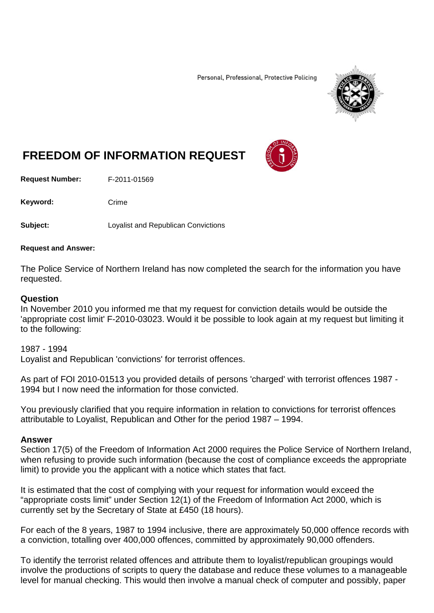Personal, Professional, Protective Policing



## **FREEDOM OF INFORMATION REQUEST**

**Request Number:** F-2011-01569

Keyword: Crime

**Subject:** Loyalist and Republican Convictions

## **Request and Answer:**

The Police Service of Northern Ireland has now completed the search for the information you have requested.

## **Question**

In November 2010 you informed me that my request for conviction details would be outside the 'appropriate cost limit' F-2010-03023. Would it be possible to look again at my request but limiting it to the following:

1987 - 1994 Loyalist and Republican 'convictions' for terrorist offences.

As part of FOI 2010-01513 you provided details of persons 'charged' with terrorist offences 1987 - 1994 but I now need the information for those convicted.

You previously clarified that you require information in relation to convictions for terrorist offences attributable to Loyalist, Republican and Other for the period 1987 – 1994.

## **Answer**

Section 17(5) of the Freedom of Information Act 2000 requires the Police Service of Northern Ireland, when refusing to provide such information (because the cost of compliance exceeds the appropriate limit) to provide you the applicant with a notice which states that fact.

It is estimated that the cost of complying with your request for information would exceed the "appropriate costs limit" under Section 12(1) of the Freedom of Information Act 2000, which is currently set by the Secretary of State at £450 (18 hours).

For each of the 8 years, 1987 to 1994 inclusive, there are approximately 50,000 offence records with a conviction, totalling over 400,000 offences, committed by approximately 90,000 offenders.

To identify the terrorist related offences and attribute them to loyalist/republican groupings would involve the productions of scripts to query the database and reduce these volumes to a manageable level for manual checking. This would then involve a manual check of computer and possibly, paper